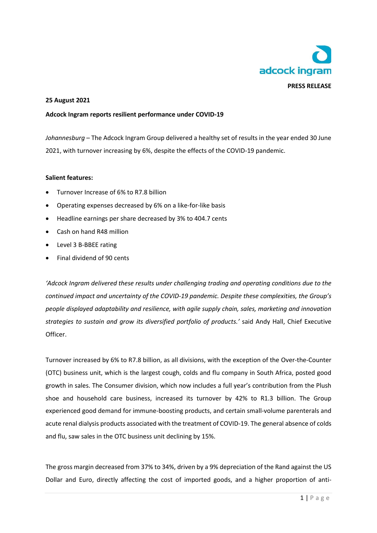

## **25 August 2021**

#### **Adcock Ingram reports resilient performance under COVID-19**

*Johannesburg* – The Adcock Ingram Group delivered a healthy set of results in the year ended 30 June 2021, with turnover increasing by 6%, despite the effects of the COVID-19 pandemic.

#### **Salient features:**

- Turnover Increase of 6% to R7.8 billion
- Operating expenses decreased by 6% on a like-for-like basis
- Headline earnings per share decreased by 3% to 404.7 cents
- Cash on hand R48 million
- Level 3 B-BBEE rating
- Final dividend of 90 cents

*'Adcock Ingram delivered these results under challenging trading and operating conditions due to the continued impact and uncertainty of the COVID-19 pandemic. Despite these complexities, the Group's people displayed adaptability and resilience, with agile supply chain, sales, marketing and innovation strategies to sustain and grow its diversified portfolio of products.'* said Andy Hall, Chief Executive Officer.

Turnover increased by 6% to R7.8 billion, as all divisions, with the exception of the Over-the-Counter (OTC) business unit, which is the largest cough, colds and flu company in South Africa, posted good growth in sales. The Consumer division, which now includes a full year's contribution from the Plush shoe and household care business, increased its turnover by 42% to R1.3 billion. The Group experienced good demand for immune-boosting products, and certain small-volume parenterals and acute renal dialysis products associated with the treatment of COVID-19. The general absence of colds and flu, saw sales in the OTC business unit declining by 15%.

The gross margin decreased from 37% to 34%, driven by a 9% depreciation of the Rand against the US Dollar and Euro, directly affecting the cost of imported goods, and a higher proportion of anti